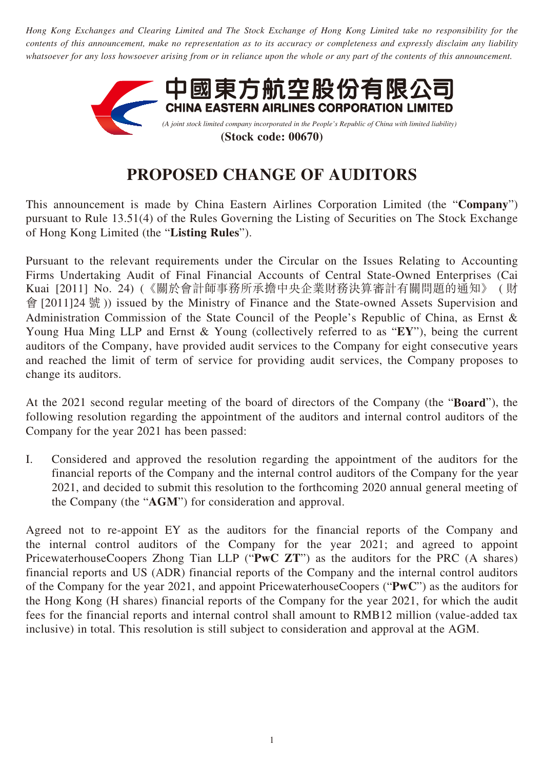*Hong Kong Exchanges and Clearing Limited and The Stock Exchange of Hong Kong Limited take no responsibility for the contents of this announcement, make no representation as to its accuracy or completeness and expressly disclaim any liability whatsoever for any loss howsoever arising from or in reliance upon the whole or any part of the contents of this announcement.*



## **PROPOSED CHANGE OF AUDITORS**

This announcement is made by China Eastern Airlines Corporation Limited (the "**Company**") pursuant to Rule 13.51(4) of the Rules Governing the Listing of Securities on The Stock Exchange of Hong Kong Limited (the "**Listing Rules**").

Pursuant to the relevant requirements under the Circular on the Issues Relating to Accounting Firms Undertaking Audit of Final Financial Accounts of Central State-Owned Enterprises (Cai Kuai [2011] No. 24) (《關於會計師事務所承擔中央企業財務決算審計有關問題的通知》 ( 財 會 [2011]24 號 )) issued by the Ministry of Finance and the State-owned Assets Supervision and Administration Commission of the State Council of the People's Republic of China, as Ernst & Young Hua Ming LLP and Ernst & Young (collectively referred to as "**EY**"), being the current auditors of the Company, have provided audit services to the Company for eight consecutive years and reached the limit of term of service for providing audit services, the Company proposes to change its auditors.

At the 2021 second regular meeting of the board of directors of the Company (the "**Board**"), the following resolution regarding the appointment of the auditors and internal control auditors of the Company for the year 2021 has been passed:

I. Considered and approved the resolution regarding the appointment of the auditors for the financial reports of the Company and the internal control auditors of the Company for the year 2021, and decided to submit this resolution to the forthcoming 2020 annual general meeting of the Company (the "**AGM**") for consideration and approval.

Agreed not to re-appoint EY as the auditors for the financial reports of the Company and the internal control auditors of the Company for the year 2021; and agreed to appoint PricewaterhouseCoopers Zhong Tian LLP ("**PwC ZT**") as the auditors for the PRC (A shares) financial reports and US (ADR) financial reports of the Company and the internal control auditors of the Company for the year 2021, and appoint PricewaterhouseCoopers ("**PwC**") as the auditors for the Hong Kong (H shares) financial reports of the Company for the year 2021, for which the audit fees for the financial reports and internal control shall amount to RMB12 million (value-added tax inclusive) in total. This resolution is still subject to consideration and approval at the AGM.